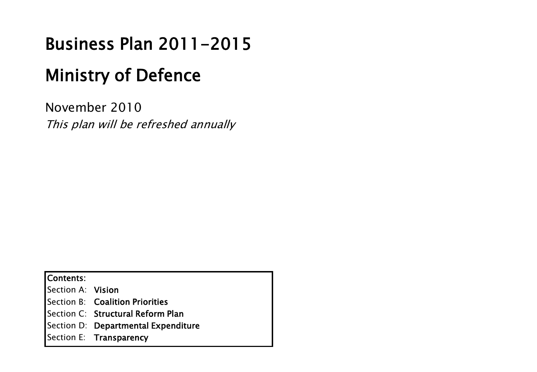# Business Plan 2011-2015

# Ministry of Defence

November 2010 This plan will be refreshed annually

Contents:

Section A: Vision

Section B: Coalition Priorities

Section C: Structural Reform Plan

Section D: Departmental Expenditure

Section E: Transparency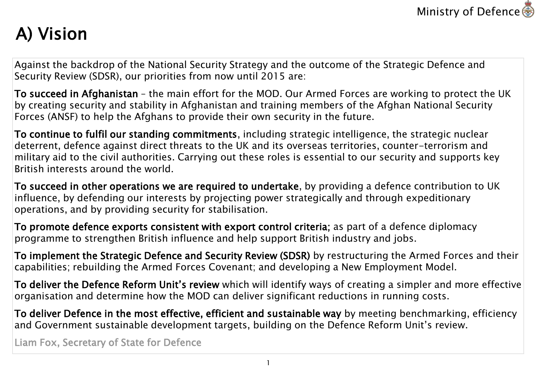

# A) Vision

Against the backdrop of the National Security Strategy and the outcome of the Strategic Defence and Security Review (SDSR), our priorities from now until 2015 are:

To succeed in Afghanistan – the main effort for the MOD. Our Armed Forces are working to protect the UK by creating security and stability in Afghanistan and training members of the Afghan National Security Forces (ANSF) to help the Afghans to provide their own security in the future.

To continue to fulfil our standing commitments, including strategic intelligence, the strategic nuclear deterrent, defence against direct threats to the UK and its overseas territories, counter-terrorism and military aid to the civil authorities. Carrying out these roles is essential to our security and supports key British interests around the world.

To succeed in other operations we are required to undertake, by providing a defence contribution to UK influence, by defending our interests by projecting power strategically and through expeditionary operations, and by providing security for stabilisation.

To promote defence exports consistent with export control criteria; as part of a defence diplomacy programme to strengthen British influence and help support British industry and jobs.

To implement the Strategic Defence and Security Review (SDSR) by restructuring the Armed Forces and their capabilities; rebuilding the Armed Forces Covenant; and developing a New Employment Model.

To deliver the Defence Reform Unit's review which will identify ways of creating a simpler and more effective organisation and determine how the MOD can deliver significant reductions in running costs.

To deliver Defence in the most effective, efficient and sustainable way by meeting benchmarking, efficiency and Government sustainable development targets, building on the Defence Reform Unit's review.

Liam Fox, Secretary of State for Defence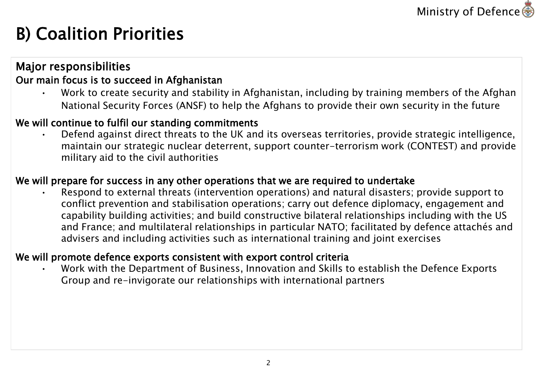

# B) Coalition Priorities

### Major responsibilities

### Our main focus is to succeed in Afghanistan

• Work to create security and stability in Afghanistan, including by training members of the Afghan National Security Forces (ANSF) to help the Afghans to provide their own security in the future

### We will continue to fulfil our standing commitments

• Defend against direct threats to the UK and its overseas territories, provide strategic intelligence, maintain our strategic nuclear deterrent, support counter-terrorism work (CONTEST) and provide military aid to the civil authorities

### We will prepare for success in any other operations that we are required to undertake

• Respond to external threats (intervention operations) and natural disasters; provide support to conflict prevention and stabilisation operations; carry out defence diplomacy, engagement and capability building activities; and build constructive bilateral relationships including with the US and France; and multilateral relationships in particular NATO; facilitated by defence attachés and advisers and including activities such as international training and joint exercises

### We will promote defence exports consistent with export control criteria

• Work with the Department of Business, Innovation and Skills to establish the Defence Exports Group and re-invigorate our relationships with international partners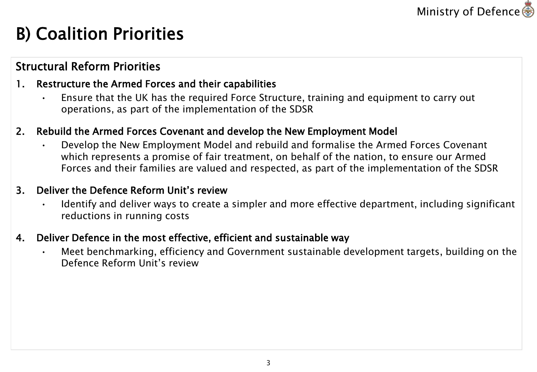

## B) Coalition Priorities

### Structural Reform Priorities

### 1. Restructure the Armed Forces and their capabilities

• Ensure that the UK has the required Force Structure, training and equipment to carry out operations, as part of the implementation of the SDSR

### 2. Rebuild the Armed Forces Covenant and develop the New Employment Model

• Develop the New Employment Model and rebuild and formalise the Armed Forces Covenant which represents a promise of fair treatment, on behalf of the nation, to ensure our Armed Forces and their families are valued and respected, as part of the implementation of the SDSR

#### 3. Deliver the Defence Reform Unit's review

• Identify and deliver ways to create a simpler and more effective department, including significant reductions in running costs

#### 4. Deliver Defence in the most effective, efficient and sustainable way

• Meet benchmarking, efficiency and Government sustainable development targets, building on the Defence Reform Unit's review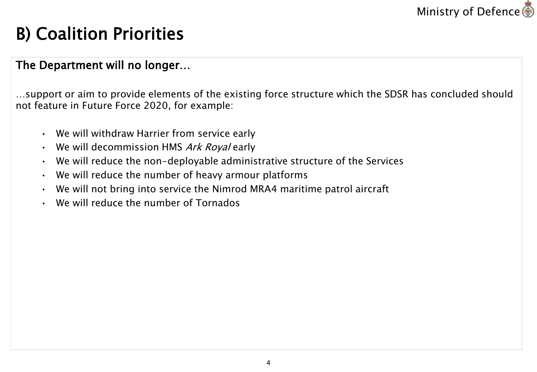

## B) Coalition Priorities

### The Department will no longer…

…support or aim to provide elements of the existing force structure which the SDSR has concluded should not feature in Future Force 2020, for example:

- We will withdraw Harrier from service early
- We will decommission HMS Ark Royal early
- We will reduce the non-deployable administrative structure of the Services
- We will reduce the number of heavy armour platforms
- We will not bring into service the Nimrod MRA4 maritime patrol aircraft
- We will reduce the number of Tornados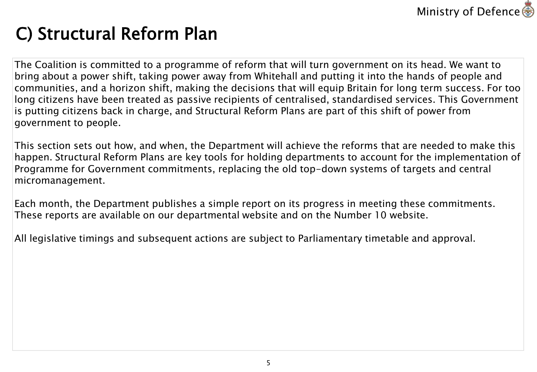

# C) Structural Reform Plan

The Coalition is committed to a programme of reform that will turn government on its head. We want to bring about a power shift, taking power away from Whitehall and putting it into the hands of people and communities, and a horizon shift, making the decisions that will equip Britain for long term success. For too long citizens have been treated as passive recipients of centralised, standardised services. This Government is putting citizens back in charge, and Structural Reform Plans are part of this shift of power from government to people.

This section sets out how, and when, the Department will achieve the reforms that are needed to make this happen. Structural Reform Plans are key tools for holding departments to account for the implementation of Programme for Government commitments, replacing the old top-down systems of targets and central micromanagement.

Each month, the Department publishes a simple report on its progress in meeting these commitments. These reports are available on our departmental website and on the Number 10 website.

All legislative timings and subsequent actions are subject to Parliamentary timetable and approval.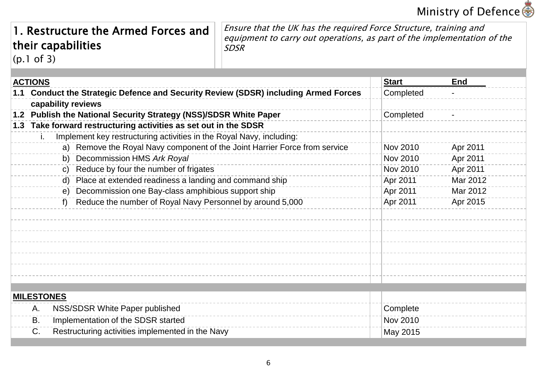

### 1. Restructure the Armed Forces and their capabilities (p.1 of 3)

Ensure that the UK has the required Force Structure, training and equipment to carry out operations, as part of the implementation of the SDSR

**ACTIONS 1.1 Conduct the Strategic Defence and Security Review (SDSR) including Armed Forces capability reviews 1.2 Publish the National Security Strategy (NSS)/SDSR White Paper 1.3 Take forward restructuring activities as set out in the SDSR** Implement key restructuring activities in the Royal Navy, including: a) Remove the Royal Navy component of the Joint Harrier Force from service b) Decommission HMS *Ark Royal* c) Reduce by four the number of frigates d) Place at extended readiness a landing and command ship e) Decommission one Bay-class amphibious support ship f) Reduce the number of Royal Navy Personnel by around 5,000 **Start End** Completed **Completed** Nov 2010 Apr 2011 Nov 2010 Apr 2011 Nov 2010 Apr 2011 Apr 2011 Mar 2012 Apr 2011 Mar 2012 Apr 2011 Apr 2015 **MILESTONES** A. NSS/SDSR White Paper published B. Implementation of the SDSR started C. Restructuring activities implemented in the Navy **Complete** Nov 2010 May 2015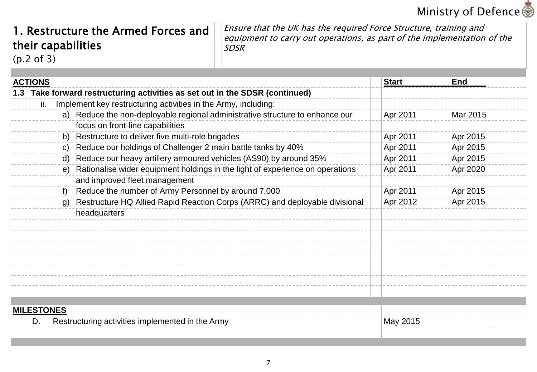## Ministry of Defence 8

### 1. Restructure the Armed Forces and their capabilities (p.2 of 3)

Ensure that the UK has the required Force Structure, training and equipment to carry out operations, as part of the implementation of the SDSR

**ACTIONS 1.3 Take forward restructuring activities as set out in the SDSR (continued)** Implement key restructuring activities in the Army, including: a) Reduce the non-deployable regional administrative structure to enhance our focus on front-line capabilities b) Restructure to deliver five multi-role brigades c) Reduce our holdings of Challenger 2 main battle tanks by 40% d) Reduce our heavy artillery armoured vehicles (AS90) by around 35% e) Rationalise wider equipment holdings in the light of experience on operations and improved fleet management f) Reduce the number of Army Personnel by around 7,000 g) Restructure HQ Allied Rapid Reaction Corps (ARRC) and deployable divisional headquarters **Start End** Apr 2011 Mar 2015 Apr 2011 Apr 2015 Apr 2011 Apr 2015 Apr 2011 Apr 2015 Apr 2011 Apr 2020 Apr 2011 Apr 2015 Apr 2012 Apr 2015 **MILESTONES** D. Restructuring activities implemented in the Army National Communication of the May 2015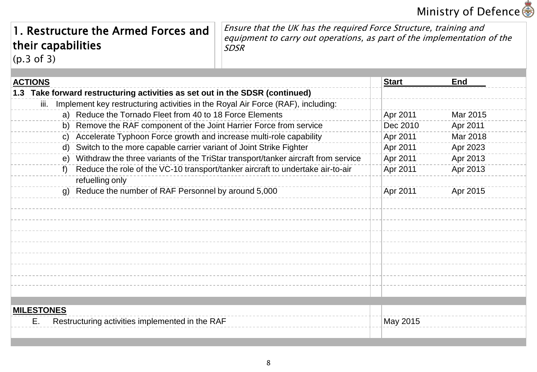

### 1. Restructure the Armed Forces and their capabilities (p.3 of 3)

Ensure that the UK has the required Force Structure, training and equipment to carry out operations, as part of the implementation of the SDSR

| <b>ACTIONS</b>    |                                                                                      | <b>Start</b> | <b>End</b> |
|-------------------|--------------------------------------------------------------------------------------|--------------|------------|
|                   | 1.3 Take forward restructuring activities as set out in the SDSR (continued)         |              |            |
| iii.              | Implement key restructuring activities in the Royal Air Force (RAF), including:      |              |            |
|                   | a) Reduce the Tornado Fleet from 40 to 18 Force Elements                             | Apr 2011     | Mar 2015   |
|                   | b) Remove the RAF component of the Joint Harrier Force from service                  | Dec 2010     | Apr 2011   |
|                   | c) Accelerate Typhoon Force growth and increase multi-role capability                | Apr 2011     | Mar 2018   |
|                   | d) Switch to the more capable carrier variant of Joint Strike Fighter                | Apr 2011     | Apr 2023   |
|                   | e) Withdraw the three variants of the TriStar transport/tanker aircraft from service | Apr 2011     | Apr 2013   |
|                   | f) Reduce the role of the VC-10 transport/tanker aircraft to undertake air-to-air    | Apr 2011     | Apr 2013   |
|                   | refuelling only                                                                      |              |            |
|                   | g) Reduce the number of RAF Personnel by around 5,000                                | Apr 2011     | Apr 2015   |
|                   |                                                                                      |              |            |
|                   |                                                                                      |              |            |
|                   |                                                                                      |              |            |
|                   |                                                                                      |              |            |
|                   |                                                                                      |              |            |
|                   |                                                                                      |              |            |
|                   |                                                                                      |              |            |
|                   |                                                                                      |              |            |
|                   |                                                                                      |              |            |
|                   |                                                                                      |              |            |
| <b>MILESTONES</b> |                                                                                      |              |            |
| Е.                | Restructuring activities implemented in the RAF                                      | May 2015     |            |
|                   |                                                                                      |              |            |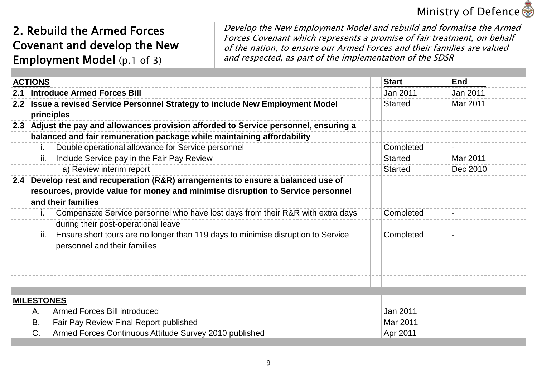## Ministry of Defence s

### 2. Rebuild the Armed Forces Covenant and develop the New Employment Model (p.1 of 3)

Develop the New Employment Model and rebuild and formalise the Armed Forces Covenant which represents a promise of fair treatment, on behalf of the nation, to ensure our Armed Forces and their families are valued and respected, as part of the implementation of the SDSR

|     | <b>ACTIONS</b>    |                                                                                       | <b>Start</b>   | End      |
|-----|-------------------|---------------------------------------------------------------------------------------|----------------|----------|
| 2.1 |                   | <b>Introduce Armed Forces Bill</b>                                                    | Jan 2011       | Jan 2011 |
|     |                   | 2.2 Issue a revised Service Personnel Strategy to include New Employment Model        | <b>Started</b> | Mar 2011 |
|     |                   | principles                                                                            |                |          |
|     |                   | 2.3 Adjust the pay and allowances provision afforded to Service personnel, ensuring a |                |          |
|     |                   | balanced and fair remuneration package while maintaining affordability                |                |          |
|     |                   | Double operational allowance for Service personnel                                    | Completed      |          |
|     | ii.               | Include Service pay in the Fair Pay Review                                            | <b>Started</b> | Mar 2011 |
|     |                   | a) Review interim report                                                              | <b>Started</b> | Dec 2010 |
|     |                   | 2.4 Develop rest and recuperation (R&R) arrangements to ensure a balanced use of      |                |          |
|     |                   | resources, provide value for money and minimise disruption to Service personnel       |                |          |
|     |                   | and their families                                                                    |                |          |
|     |                   | Compensate Service personnel who have lost days from their R&R with extra days        | Completed      |          |
|     |                   | during their post-operational leave                                                   |                |          |
|     | ii.               | Ensure short tours are no longer than 119 days to minimise disruption to Service      | Completed      |          |
|     |                   | personnel and their families                                                          |                |          |
|     |                   |                                                                                       |                |          |
|     |                   |                                                                                       |                |          |
|     |                   |                                                                                       |                |          |
|     |                   |                                                                                       |                |          |
|     | <b>MILESTONES</b> |                                                                                       |                |          |
|     | Α.                | Armed Forces Bill introduced                                                          | Jan 2011       |          |
|     | <b>B.</b>         | Fair Pay Review Final Report published                                                | Mar 2011       |          |
|     | C.                | Armed Forces Continuous Attitude Survey 2010 published                                | Apr 2011       |          |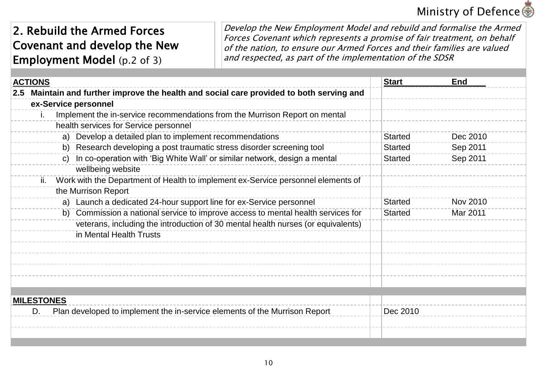## Ministry of Defence s

### 2. Rebuild the Armed Forces Covenant and develop the New Employment Model (p.2 of 3)

Develop the New Employment Model and rebuild and formalise the Armed Forces Covenant which represents a promise of fair treatment, on behalf of the nation, to ensure our Armed Forces and their families are valued and respected, as part of the implementation of the SDSR

| <b>ACTIONS</b>                                                                           | <b>Start</b>   | End             |
|------------------------------------------------------------------------------------------|----------------|-----------------|
| 2.5 Maintain and further improve the health and social care provided to both serving and |                |                 |
| ex-Service personnel                                                                     |                |                 |
| Implement the in-service recommendations from the Murrison Report on mental<br>Τ.        |                |                 |
| health services for Service personnel                                                    |                |                 |
| a) Develop a detailed plan to implement recommendations                                  | <b>Started</b> | Dec 2010        |
| b) Research developing a post traumatic stress disorder screening tool                   | <b>Started</b> | Sep 2011        |
| c) In co-operation with 'Big White Wall' or similar network, design a mental             | <b>Started</b> | Sep 2011        |
| wellbeing website                                                                        |                |                 |
| Work with the Department of Health to implement ex-Service personnel elements of<br>ii.  |                |                 |
| the Murrison Report                                                                      |                |                 |
| a) Launch a dedicated 24-hour support line for ex-Service personnel                      | <b>Started</b> | <b>Nov 2010</b> |
| b) Commission a national service to improve access to mental health services for         | <b>Started</b> | Mar 2011        |
| veterans, including the introduction of 30 mental health nurses (or equivalents)         |                |                 |
| in Mental Health Trusts                                                                  |                |                 |
|                                                                                          |                |                 |
|                                                                                          |                |                 |
|                                                                                          |                |                 |
|                                                                                          |                |                 |
|                                                                                          |                |                 |
| <b>MILESTONES</b>                                                                        |                |                 |
| Plan developed to implement the in-service elements of the Murrison Report<br>D.         | Dec 2010       |                 |
|                                                                                          |                |                 |
|                                                                                          |                |                 |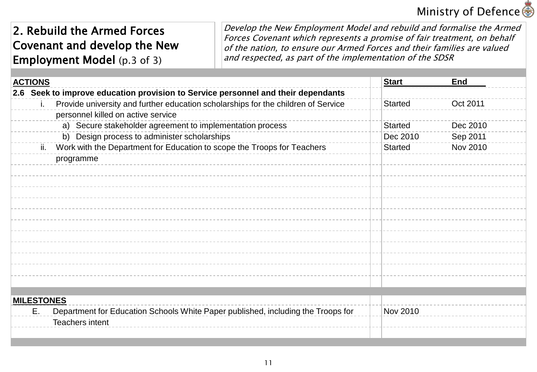## Ministry of Defence s

### 2. Rebuild the Armed Forces Covenant and develop the New Employment Model (p.3 of 3)

Develop the New Employment Model and rebuild and formalise the Armed Forces Covenant which represents a promise of fair treatment, on behalf of the nation, to ensure our Armed Forces and their families are valued and respected, as part of the implementation of the SDSR

| <b>ACTIONS</b>    |                                                                                   | <b>Start</b>   | <b>End</b> |
|-------------------|-----------------------------------------------------------------------------------|----------------|------------|
|                   | 2.6 Seek to improve education provision to Service personnel and their dependants |                |            |
|                   | Provide university and further education scholarships for the children of Service | <b>Started</b> | Oct 2011   |
|                   | personnel killed on active service                                                |                |            |
|                   | a) Secure stakeholder agreement to implementation process                         | <b>Started</b> | Dec 2010   |
|                   | b) Design process to administer scholarships                                      | Dec 2010       | Sep 2011   |
| ii.               | Work with the Department for Education to scope the Troops for Teachers           | <b>Started</b> | Nov 2010   |
|                   | programme                                                                         |                |            |
|                   |                                                                                   |                |            |
|                   |                                                                                   |                |            |
|                   |                                                                                   |                |            |
|                   |                                                                                   |                |            |
|                   |                                                                                   |                |            |
|                   |                                                                                   |                |            |
|                   |                                                                                   |                |            |
|                   |                                                                                   |                |            |
|                   |                                                                                   |                |            |
|                   |                                                                                   |                |            |
|                   |                                                                                   |                |            |
|                   |                                                                                   |                |            |
| <b>MILESTONES</b> |                                                                                   |                |            |
| Ε.                | Department for Education Schools White Paper published, including the Troops for  | Nov 2010       |            |
|                   | Teachers intent                                                                   |                |            |
|                   |                                                                                   |                |            |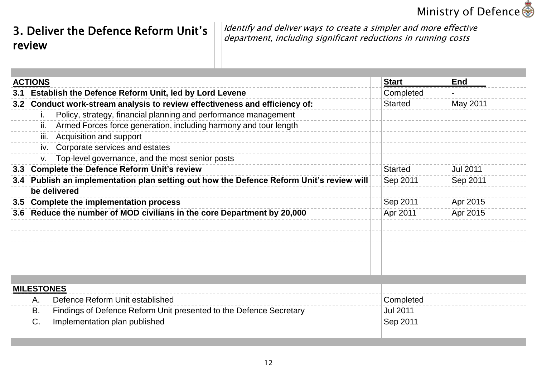## **Ministry of Defence**

## 3. Deliver the Defence Reform Unit's review

Identify and deliver ways to create a simpler and more effective department, including significant reductions in running costs

|     | <b>ACTIONS</b>                                                                       | <b>Start</b>    | End             |
|-----|--------------------------------------------------------------------------------------|-----------------|-----------------|
|     | 3.1 Establish the Defence Reform Unit, led by Lord Levene                            | Completed       |                 |
| 3.2 | Conduct work-stream analysis to review effectiveness and efficiency of:              | <b>Started</b>  | May 2011        |
|     | Policy, strategy, financial planning and performance management<br>İ.                |                 |                 |
|     | Armed Forces force generation, including harmony and tour length<br>ii.              |                 |                 |
|     | iii. Acquisition and support                                                         |                 |                 |
|     | iv. Corporate services and estates                                                   |                 |                 |
|     | Top-level governance, and the most senior posts                                      |                 |                 |
| 3.3 | <b>Complete the Defence Reform Unit's review</b>                                     | <b>Started</b>  | <b>Jul 2011</b> |
| 3.4 | Publish an implementation plan setting out how the Defence Reform Unit's review will | Sep 2011        | Sep 2011        |
|     | be delivered                                                                         |                 |                 |
| 3.5 | <b>Complete the implementation process</b>                                           | Sep 2011        | Apr 2015        |
|     | 3.6 Reduce the number of MOD civilians in the core Department by 20,000              | Apr 2011        | Apr 2015        |
|     |                                                                                      |                 |                 |
|     |                                                                                      |                 |                 |
|     |                                                                                      |                 |                 |
|     |                                                                                      |                 |                 |
|     |                                                                                      |                 |                 |
|     |                                                                                      |                 |                 |
|     | <b>MILESTONES</b>                                                                    |                 |                 |
|     | Defence Reform Unit established<br>A.                                                | Completed       |                 |
|     | Findings of Defence Reform Unit presented to the Defence Secretary<br>В.             | <b>Jul 2011</b> |                 |
|     | C.<br>Implementation plan published                                                  | Sep 2011        |                 |
|     |                                                                                      |                 |                 |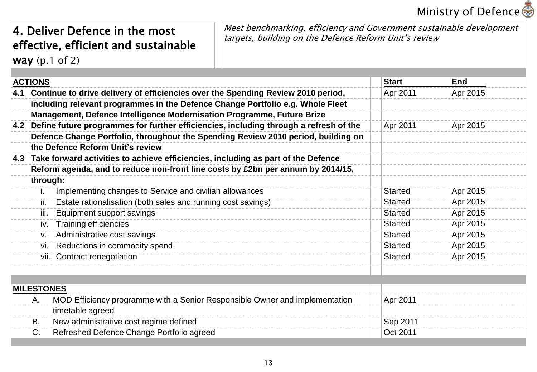## **Ministry of Defence <■**

### 4. Deliver Defence in the most effective, efficient and sustainable way (p.1 of 2)

Meet benchmarking, efficiency and Government sustainable development targets, building on the Defence Reform Unit's review

| <b>ACTIONS</b>    |                                                                                           | <b>Start</b>   | <b>End</b> |
|-------------------|-------------------------------------------------------------------------------------------|----------------|------------|
|                   | 4.1 Continue to drive delivery of efficiencies over the Spending Review 2010 period,      | Apr 2011       | Apr 2015   |
|                   | including relevant programmes in the Defence Change Portfolio e.g. Whole Fleet            |                |            |
|                   | Management, Defence Intelligence Modernisation Programme, Future Brize                    |                |            |
|                   | 4.2 Define future programmes for further efficiencies, including through a refresh of the | Apr 2011       | Apr 2015   |
|                   | Defence Change Portfolio, throughout the Spending Review 2010 period, building on         |                |            |
|                   | the Defence Reform Unit's review                                                          |                |            |
|                   | 4.3 Take forward activities to achieve efficiencies, including as part of the Defence     |                |            |
|                   | Reform agenda, and to reduce non-front line costs by £2bn per annum by 2014/15,           |                |            |
| through:          |                                                                                           |                |            |
| T.                | Implementing changes to Service and civilian allowances                                   | <b>Started</b> | Apr 2015   |
| ii.               | Estate rationalisation (both sales and running cost savings)                              | <b>Started</b> | Apr 2015   |
| iii.              | Equipment support savings                                                                 | <b>Started</b> | Apr 2015   |
| iv.               | <b>Training efficiencies</b>                                                              | <b>Started</b> | Apr 2015   |
| V.                | Administrative cost savings                                                               | <b>Started</b> | Apr 2015   |
| vi.               | Reductions in commodity spend                                                             | <b>Started</b> | Apr 2015   |
|                   | vii. Contract renegotiation                                                               | <b>Started</b> | Apr 2015   |
|                   |                                                                                           |                |            |
| <b>MILESTONES</b> |                                                                                           |                |            |
| Α.                | MOD Efficiency programme with a Senior Responsible Owner and implementation               | Apr 2011       |            |
|                   | timetable agreed                                                                          |                |            |
| В.                | New administrative cost regime defined                                                    | Sep 2011       |            |
| C.                | Refreshed Defence Change Portfolio agreed                                                 | Oct 2011       |            |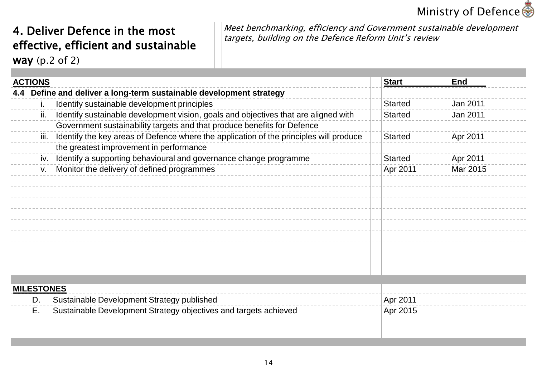## **Ministry of Defence <■**

### 4. Deliver Defence in the most effective, efficient and sustainable way (p.2 of 2)

Meet benchmarking, efficiency and Government sustainable development targets, building on the Defence Reform Unit's review

| <b>ACTIONS</b>    |                                                                                        | <b>Start</b> |                | <b>End</b> |
|-------------------|----------------------------------------------------------------------------------------|--------------|----------------|------------|
|                   | 4.4 Define and deliver a long-term sustainable development strategy                    |              |                |            |
| İ.                | Identify sustainable development principles                                            |              | <b>Started</b> | Jan 2011   |
| ii.               | Identify sustainable development vision, goals and objectives that are aligned with    |              | <b>Started</b> | Jan 2011   |
|                   | Government sustainability targets and that produce benefits for Defence                |              |                |            |
| iii.              | Identify the key areas of Defence where the application of the principles will produce |              | <b>Started</b> | Apr 2011   |
|                   | the greatest improvement in performance                                                |              |                |            |
| iv.               | Identify a supporting behavioural and governance change programme                      |              | <b>Started</b> | Apr 2011   |
| V.                | Monitor the delivery of defined programmes                                             |              | Apr 2011       | Mar 2015   |
|                   |                                                                                        |              |                |            |
|                   |                                                                                        |              |                |            |
|                   |                                                                                        |              |                |            |
|                   |                                                                                        |              |                |            |
|                   |                                                                                        |              |                |            |
|                   |                                                                                        |              |                |            |
|                   |                                                                                        |              |                |            |
|                   |                                                                                        |              |                |            |
|                   |                                                                                        |              |                |            |
|                   |                                                                                        |              |                |            |
| <b>MILESTONES</b> |                                                                                        |              |                |            |
| D.                | Sustainable Development Strategy published                                             |              | Apr 2011       |            |
| Ε.                | Sustainable Development Strategy objectives and targets achieved                       |              | Apr 2015       |            |
|                   |                                                                                        |              |                |            |
|                   |                                                                                        |              |                |            |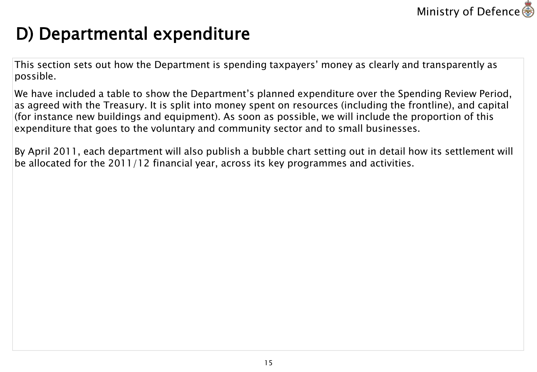

# D) Departmental expenditure

This section sets out how the Department is spending taxpayers' money as clearly and transparently as possible.

We have included a table to show the Department's planned expenditure over the Spending Review Period, as agreed with the Treasury. It is split into money spent on resources (including the frontline), and capital (for instance new buildings and equipment). As soon as possible, we will include the proportion of this expenditure that goes to the voluntary and community sector and to small businesses.

By April 2011, each department will also publish a bubble chart setting out in detail how its settlement will be allocated for the 2011/12 financial year, across its key programmes and activities.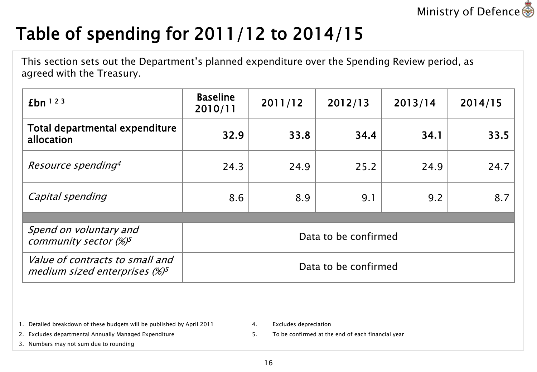

# Table of spending for 2011/12 to 2014/15

This section sets out the Department's planned expenditure over the Spending Review period, as agreed with the Treasury.

| $fbn$ <sup>123</sup>                                                 | <b>Baseline</b><br>2010/11 | 2011/12 | 2012/13 | 2013/14 | 2014/15 |
|----------------------------------------------------------------------|----------------------------|---------|---------|---------|---------|
| Total departmental expenditure<br>allocation                         | 32.9                       | 33.8    | 34.4    | 34.1    | 33.5    |
| Resource spending <sup>4</sup>                                       | 24.3                       | 24.9    | 25.2    | 24.9    | 24.7    |
| Capital spending                                                     | 8.6                        | 8.9     | 9.1     | 9.2     | 8.7     |
|                                                                      |                            |         |         |         |         |
| Spend on voluntary and<br>community sector $(\%)^5$                  | Data to be confirmed       |         |         |         |         |
| Value of contracts to small and<br>medium sized enterprises $(\%)^5$ | Data to be confirmed       |         |         |         |         |

1. Detailed breakdown of these budgets will be published by April 2011

4. Excludes depreciation

2. Excludes departmental Annually Managed Expenditure

3. Numbers may not sum due to rounding

5. To be confirmed at the end of each financial year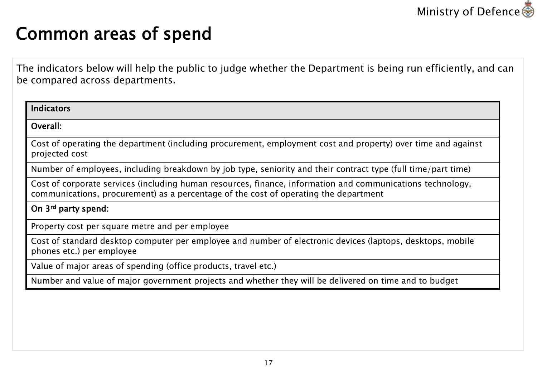

## Common areas of spend

The indicators below will help the public to judge whether the Department is being run efficiently, and can be compared across departments.

| <b>Indicators</b>                                                                                                                                                                                  |
|----------------------------------------------------------------------------------------------------------------------------------------------------------------------------------------------------|
| Overall:                                                                                                                                                                                           |
| Cost of operating the department (including procurement, employment cost and property) over time and against<br>projected cost                                                                     |
| Number of employees, including breakdown by job type, seniority and their contract type (full time/part time)                                                                                      |
| Cost of corporate services (including human resources, finance, information and communications technology,<br>communications, procurement) as a percentage of the cost of operating the department |
| On 3 <sup>rd</sup> party spend:                                                                                                                                                                    |
| Property cost per square metre and per employee                                                                                                                                                    |
| Cost of standard desktop computer per employee and number of electronic devices (laptops, desktops, mobile<br>phones etc.) per employee                                                            |
| Value of major areas of spending (office products, travel etc.)                                                                                                                                    |
| Number and value of major government projects and whether they will be delivered on time and to budget                                                                                             |
|                                                                                                                                                                                                    |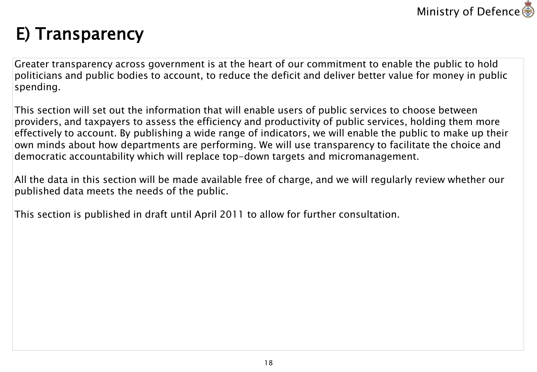

# E) Transparency

Greater transparency across government is at the heart of our commitment to enable the public to hold politicians and public bodies to account, to reduce the deficit and deliver better value for money in public spending.

This section will set out the information that will enable users of public services to choose between providers, and taxpayers to assess the efficiency and productivity of public services, holding them more effectively to account. By publishing a wide range of indicators, we will enable the public to make up their own minds about how departments are performing. We will use transparency to facilitate the choice and democratic accountability which will replace top-down targets and micromanagement.

All the data in this section will be made available free of charge, and we will regularly review whether our published data meets the needs of the public.

This section is published in draft until April 2011 to allow for further consultation.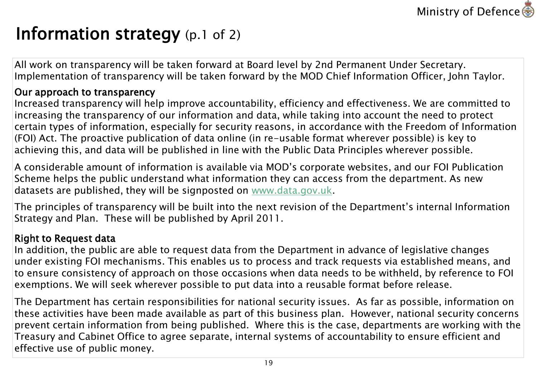

## Information strategy (p.1 of 2)

All work on transparency will be taken forward at Board level by 2nd Permanent Under Secretary. Implementation of transparency will be taken forward by the MOD Chief Information Officer, John Taylor.

#### Our approach to transparency

Increased transparency will help improve accountability, efficiency and effectiveness. We are committed to increasing the transparency of our information and data, while taking into account the need to protect certain types of information, especially for security reasons, in accordance with the Freedom of Information (FOI) Act. The proactive publication of data online (in re-usable format wherever possible) is key to achieving this, and data will be published in line with the Public Data Principles wherever possible.

A considerable amount of information is available via MOD's corporate websites, and our FOI Publication Scheme helps the public understand what information they can access from the department. As new datasets are published, they will be signposted on [www.data.gov.uk](http://www.data.gov.uk/).

The principles of transparency will be built into the next revision of the Department's internal Information Strategy and Plan. These will be published by April 2011.

#### Right to Request data

In addition, the public are able to request data from the Department in advance of legislative changes under existing FOI mechanisms. This enables us to process and track requests via established means, and to ensure consistency of approach on those occasions when data needs to be withheld, by reference to FOI exemptions. We will seek wherever possible to put data into a reusable format before release.

The Department has certain responsibilities for national security issues. As far as possible, information on these activities have been made available as part of this business plan. However, national security concerns prevent certain information from being published. Where this is the case, departments are working with the Treasury and Cabinet Office to agree separate, internal systems of accountability to ensure efficient and effective use of public money.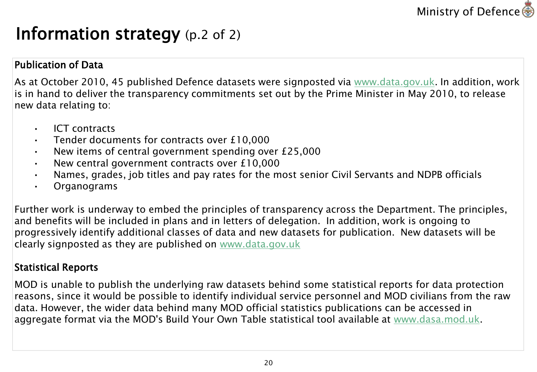

## Information strategy (p.2 of 2)

### Publication of Data

As at October 2010, 45 published Defence datasets were signposted via [www.data.gov.uk](http://www.data.gov.uk/). In addition, work is in hand to deliver the transparency commitments set out by the Prime Minister in May 2010, to release new data relating to:

- ICT contracts
- Tender documents for contracts over £10,000
- New items of central government spending over £25,000
- New central government contracts over £10,000
- Names, grades, job titles and pay rates for the most senior Civil Servants and NDPB officials
- **Organograms**

Further work is underway to embed the principles of transparency across the Department. The principles, and benefits will be included in plans and in letters of delegation. In addition, work is ongoing to progressively identify additional classes of data and new datasets for publication. New datasets will be clearly signposted as they are published on [www.data.gov.uk](http://www.data.gov.uk/)

### Statistical Reports

MOD is unable to publish the underlying raw datasets behind some statistical reports for data protection reasons, since it would be possible to identify individual service personnel and MOD civilians from the raw data. However, the wider data behind many MOD official statistics publications can be accessed in aggregate format via the MOD's Build Your Own Table statistical tool available at [www.dasa.mod.uk.](http://www.dasa.mod.uk/)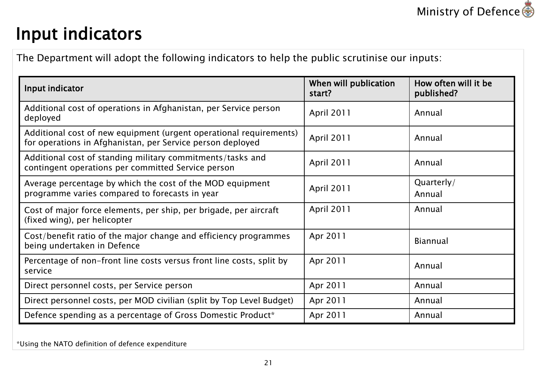# Input indicators

The Department will adopt the following indicators to help the public scrutinise our inputs:

| Input indicator                                                                                                                  | When will publication<br>start? | How often will it be<br>published? |
|----------------------------------------------------------------------------------------------------------------------------------|---------------------------------|------------------------------------|
| Additional cost of operations in Afghanistan, per Service person<br>deployed                                                     | April 2011                      | Annual                             |
| Additional cost of new equipment (urgent operational requirements)<br>for operations in Afghanistan, per Service person deployed | April 2011                      | Annual                             |
| Additional cost of standing military commitments/tasks and<br>contingent operations per committed Service person                 | April 2011                      | Annual                             |
| Average percentage by which the cost of the MOD equipment<br>programme varies compared to forecasts in year                      | April 2011                      | Quarterly/<br>Annual               |
| Cost of major force elements, per ship, per brigade, per aircraft<br>(fixed wing), per helicopter                                | April 2011                      | Annual                             |
| Cost/benefit ratio of the major change and efficiency programmes<br>being undertaken in Defence                                  | Apr 2011                        | <b>Biannual</b>                    |
| Percentage of non-front line costs versus front line costs, split by<br>service                                                  | Apr 2011                        | Annual                             |
| Direct personnel costs, per Service person                                                                                       | Apr 2011                        | Annual                             |
| Direct personnel costs, per MOD civilian (split by Top Level Budget)                                                             | Apr 2011                        | Annual                             |
| Defence spending as a percentage of Gross Domestic Product*                                                                      | Apr 2011                        | Annual                             |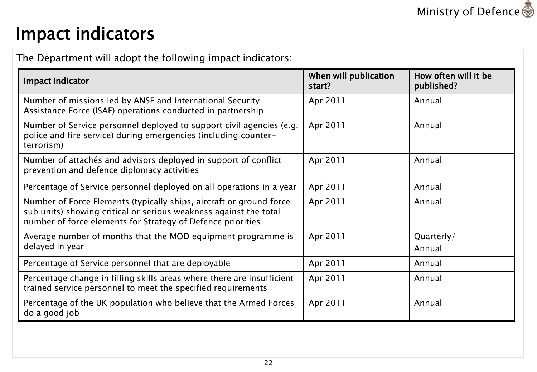# Impact indicators

The Department will adopt the following impact indicators:

| Impact indicator                                                                                                                                                                                        | When will publication<br>start? | How often will it be<br>published? |
|---------------------------------------------------------------------------------------------------------------------------------------------------------------------------------------------------------|---------------------------------|------------------------------------|
| Number of missions led by ANSF and International Security<br>Assistance Force (ISAF) operations conducted in partnership                                                                                | Apr 2011                        | Annual                             |
| Number of Service personnel deployed to support civil agencies (e.g.<br>police and fire service) during emergencies (including counter-<br>terrorism)                                                   | Apr 2011                        | Annual                             |
| Number of attachés and advisors deployed in support of conflict<br>prevention and defence diplomacy activities                                                                                          | Apr 2011                        | Annual                             |
| Percentage of Service personnel deployed on all operations in a year                                                                                                                                    | Apr 2011                        | Annual                             |
| Number of Force Elements (typically ships, aircraft or ground force<br>sub units) showing critical or serious weakness against the total<br>number of force elements for Strategy of Defence priorities | Apr 2011                        | Annual                             |
| Average number of months that the MOD equipment programme is<br>delayed in year                                                                                                                         | Apr 2011                        | Quarterly/<br>Annual               |
| Percentage of Service personnel that are deployable                                                                                                                                                     | Apr 2011                        | Annual                             |
| Percentage change in filling skills areas where there are insufficient<br>trained service personnel to meet the specified requirements                                                                  | Apr 2011                        | Annual                             |
| Percentage of the UK population who believe that the Armed Forces<br>do a good job                                                                                                                      | Apr 2011                        | Annual                             |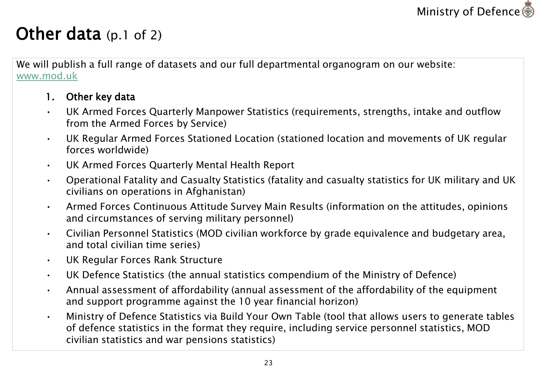

## Other data (p.1 of 2)

We will publish a full range of datasets and our full departmental organogram on our website: [www.mod.uk](http://www.mod.uk/)

#### 1. Other key data

- UK Armed Forces Quarterly Manpower Statistics (requirements, strengths, intake and outflow from the Armed Forces by Service)
- UK Regular Armed Forces Stationed Location (stationed location and movements of UK regular forces worldwide)
- UK Armed Forces Quarterly Mental Health Report
- Operational Fatality and Casualty Statistics (fatality and casualty statistics for UK military and UK civilians on operations in Afghanistan)
- Armed Forces Continuous Attitude Survey Main Results (information on the attitudes, opinions and circumstances of serving military personnel)
- Civilian Personnel Statistics (MOD civilian workforce by grade equivalence and budgetary area, and total civilian time series)
- UK Regular Forces Rank Structure
- UK Defence Statistics (the annual statistics compendium of the Ministry of Defence)
- Annual assessment of affordability (annual assessment of the affordability of the equipment and support programme against the 10 year financial horizon)
- Ministry of Defence Statistics via Build Your Own Table (tool that allows users to generate tables of defence statistics in the format they require, including service personnel statistics, MOD civilian statistics and war pensions statistics)